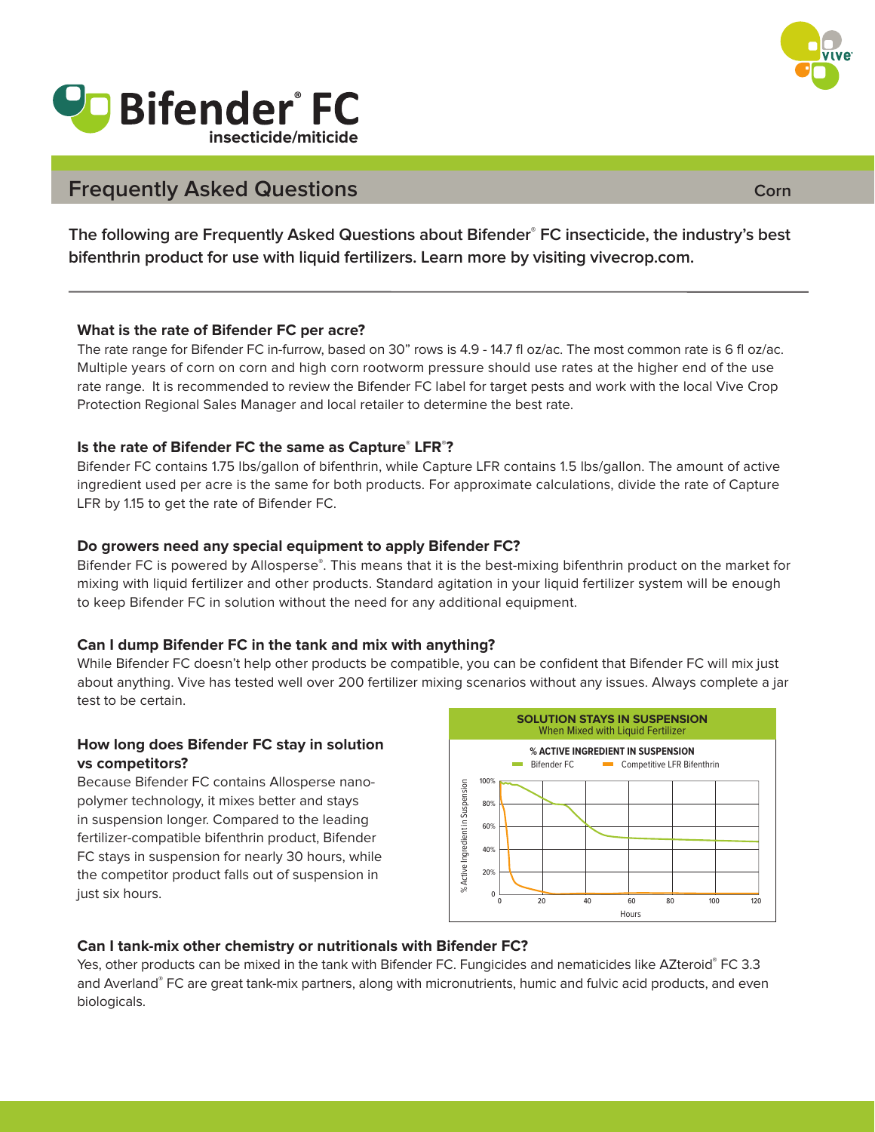

# **Vo Bifender FC insecticide/miticide**

# **Frequently Asked Questions**

**The following are Frequently Asked Questions about Bifender® FC insecticide, the industry's best bifenthrin product for use with liquid fertilizers. Learn more by visiting vivecrop.com.**

#### **What is the rate of Bifender FC per acre?**

The rate range for Bifender FC in-furrow, based on 30" rows is 4.9 - 14.7 fl oz/ac. The most common rate is 6 fl oz/ac. Multiple years of corn on corn and high corn rootworm pressure should use rates at the higher end of the use rate range. It is recommended to review the Bifender FC label for target pests and work with the local Vive Crop Protection Regional Sales Manager and local retailer to determine the best rate.

#### **Is the rate of Bifender FC the same as Capture® LFR® ?**

Bifender FC contains 1.75 lbs/gallon of bifenthrin, while Capture LFR contains 1.5 lbs/gallon. The amount of active ingredient used per acre is the same for both products. For approximate calculations, divide the rate of Capture LFR by 1.15 to get the rate of Bifender FC.

#### **Do growers need any special equipment to apply Bifender FC?**

Bifender FC is powered by Allosperse**®**. This means that it is the best-mixing bifenthrin product on the market for mixing with liquid fertilizer and other products. Standard agitation in your liquid fertilizer system will be enough to keep Bifender FC in solution without the need for any additional equipment.

# **Can I dump Bifender FC in the tank and mix with anything?**

While Bifender FC doesn't help other products be compatible, you can be confident that Bifender FC will mix just about anything. Vive has tested well over 200 fertilizer mixing scenarios without any issues. Always complete a jar test to be certain.

#### **How long does Bifender FC stay in solution vs competitors?**

Because Bifender FC contains Allosperse nanopolymer technology, it mixes better and stays in suspension longer. Compared to the leading fertilizer-compatible bifenthrin product, Bifender FC stays in suspension for nearly 30 hours, while the competitor product falls out of suspension in just six hours.



# **Can I tank-mix other chemistry or nutritionals with Bifender FC?**

Yes, other products can be mixed in the tank with Bifender FC. Fungicides and nematicides like AZteroid**®** FC 3.3 and Averland**®** FC are great tank-mix partners, along with micronutrients, humic and fulvic acid products, and even biologicals.